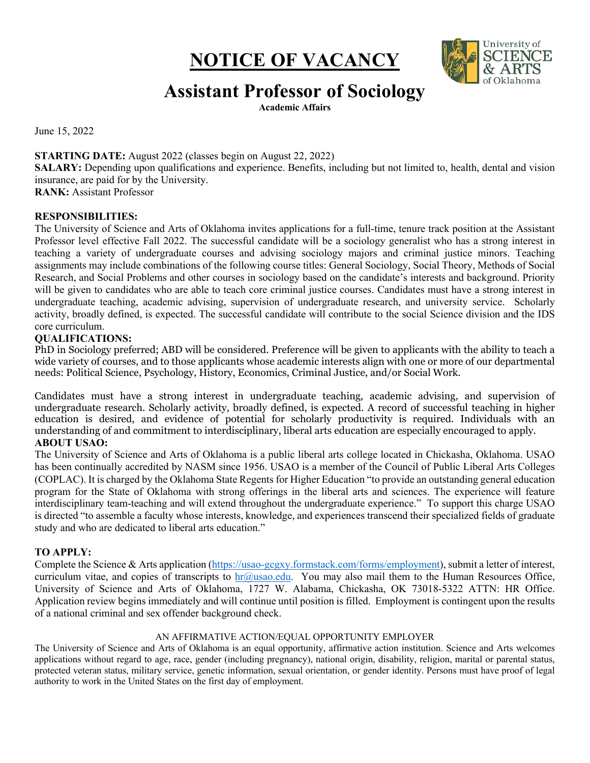# **NOTICE OF VACANCY**



## **Assistant Professor of Sociology**

**Academic Affairs** 

June 15, 2022

### **STARTING DATE:** August 2022 (classes begin on August 22, 2022)

 **SALARY:** Depending upon qualifications and experience. Benefits, including but not limited to, health, dental and vision insurance, are paid for by the University.

**RANK:** Assistant Professor

#### **RESPONSIBILITIES:**

 The University of Science and Arts of Oklahoma invites applications for a full-time, tenure track position at the Assistant Professor level effective Fall 2022. The successful candidate will be a sociology generalist who has a strong interest in teaching a variety of undergraduate courses and advising sociology majors and criminal justice minors. Teaching assignments may include combinations of the following course titles: General Sociology, Social Theory, Methods of Social Research, and Social Problems and other courses in sociology based on the candidate's interests and background. Priority will be given to candidates who are able to teach core criminal justice courses. Candidates must have a strong interest in undergraduate teaching, academic advising, supervision of undergraduate research, and university service. Scholarly activity, broadly defined, is expected. The successful candidate will contribute to the social Science division and the IDS core curriculum.

#### **QUALIFICATIONS:**

 PhD in Sociology preferred; ABD will be considered. Preference will be given to applicants with the ability to teach a wide variety of courses, and to those applicants whose academic interests align with one or more of our departmental needs: Political Science, Psychology, History, Economics, Criminal Justice, and/or Social Work.

 Candidates must have a strong interest in undergraduate teaching, academic advising, and supervision of undergraduate research. Scholarly activity, broadly defined, is expected. A record of successful teaching in higher education is desired, and evidence of potential for scholarly productivity is required. Individuals with an understanding of and commitment to interdisciplinary, liberal arts education are especially encouraged to apply.  **ABOUT USAO:** 

#### The University of Science and Arts of Oklahoma is a public liberal arts college located in Chickasha, Oklahoma. USAO has been continually accredited by NASM since 1956. USAO is a member of the Council of Public Liberal Arts Colleges (COPLAC). It is charged by the Oklahoma State Regents for Higher Education "to provide an outstanding general education program for the State of Oklahoma with strong offerings in the liberal arts and sciences. The experience will feature interdisciplinary team-teaching and will extend throughout the undergraduate experience." To support this charge USAO is directed "to assemble a faculty whose interests, knowledge, and experiences transcend their specialized fields of graduate study and who are dedicated to liberal arts education."

#### **TO APPLY:**

Complete the Science & Arts application [\(https://usao-gcgxy.formstack.com/forms/employment\)](https://usao-gcgxy.formstack.com/forms/employment), submit a letter of interest, curriculum vitae, and copies of transcripts to [hr@usao.edu.](mailto:hr@usao.edu) You may also mail them to the Human Resources Office, University of Science and Arts of Oklahoma, 1727 W. Alabama, Chickasha, OK 73018-5322 ATTN: HR Office. Application review begins immediately and will continue until position is filled. Employment is contingent upon the results of a national criminal and sex offender background check.

#### AN AFFIRMATIVE ACTION/EQUAL OPPORTUNITY EMPLOYER

 The University of Science and Arts of Oklahoma is an equal opportunity, affirmative action institution. Science and Arts welcomes applications without regard to age, race, gender (including pregnancy), national origin, disability, religion, marital or parental status, protected veteran status, military service, genetic information, sexual orientation, or gender identity. Persons must have proof of legal authority to work in the United States on the first day of employment.